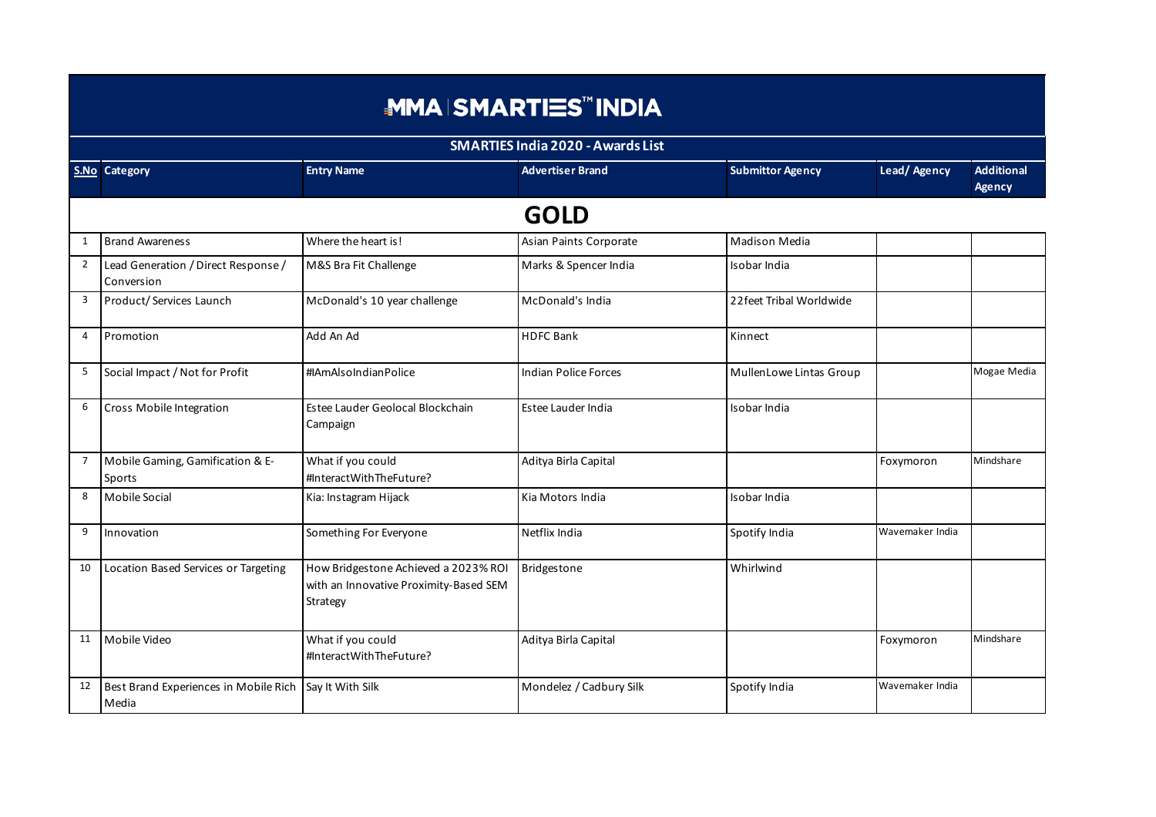|                | <b>MMA SMARTIES™ INDIA</b>                        |                                                                                            |                                          |                          |                 |                             |  |  |
|----------------|---------------------------------------------------|--------------------------------------------------------------------------------------------|------------------------------------------|--------------------------|-----------------|-----------------------------|--|--|
|                |                                                   |                                                                                            | <b>SMARTIES India 2020 - Awards List</b> |                          |                 |                             |  |  |
|                | S.No Category                                     | <b>Entry Name</b>                                                                          | <b>Advertiser Brand</b>                  | <b>Submittor Agency</b>  | Lead/Agency     | <b>Additional</b><br>Agency |  |  |
|                |                                                   |                                                                                            | <b>GOLD</b>                              |                          |                 |                             |  |  |
| 1              | <b>Brand Awareness</b>                            | Where the heart is!                                                                        | Asian Paints Corporate                   | Madison Media            |                 |                             |  |  |
| $\overline{2}$ | Lead Generation / Direct Response /<br>Conversion | M&S Bra Fit Challenge                                                                      | Marks & Spencer India                    | Isobar India             |                 |                             |  |  |
| $\overline{3}$ | Product/Services Launch                           | McDonald's 10 year challenge                                                               | McDonald's India                         | 22 feet Tribal Worldwide |                 |                             |  |  |
| $\overline{4}$ | Promotion                                         | Add An Ad                                                                                  | <b>HDFC Bank</b>                         | Kinnect                  |                 |                             |  |  |
| 5              | Social Impact / Not for Profit                    | #IAmAlsoIndianPolice                                                                       | Indian Police Forces                     | MullenLowe Lintas Group  |                 | Mogae Media                 |  |  |
| 6              | Cross Mobile Integration                          | Estee Lauder Geolocal Blockchain<br>Campaign                                               | <b>Estee Lauder India</b>                | Isobar India             |                 |                             |  |  |
| $\overline{7}$ | Mobile Gaming, Gamification & E-<br>Sports        | What if you could<br>#InteractWithTheFuture?                                               | Aditya Birla Capital                     |                          | Foxymoron       | Mindshare                   |  |  |
| 8              | Mobile Social                                     | Kia: Instagram Hijack                                                                      | Kia Motors India                         | Isobar India             |                 |                             |  |  |
| 9              | Innovation                                        | Something For Everyone                                                                     | Netflix India                            | Spotify India            | Wavemaker India |                             |  |  |
| 10             | Location Based Services or Targeting              | How Bridgestone Achieved a 2023% ROI<br>with an Innovative Proximity-Based SEM<br>Strategy | <b>Bridgestone</b>                       | Whirlwind                |                 |                             |  |  |
| 11             | Mobile Video                                      | What if you could<br>#InteractWithTheFuture?                                               | Aditya Birla Capital                     |                          | Foxymoron       | Mindshare                   |  |  |
| 12             | Best Brand Experiences in Mobile Rich<br>Media    | Say It With Silk                                                                           | Mondelez / Cadbury Silk                  | Spotify India            | Wavemaker India |                             |  |  |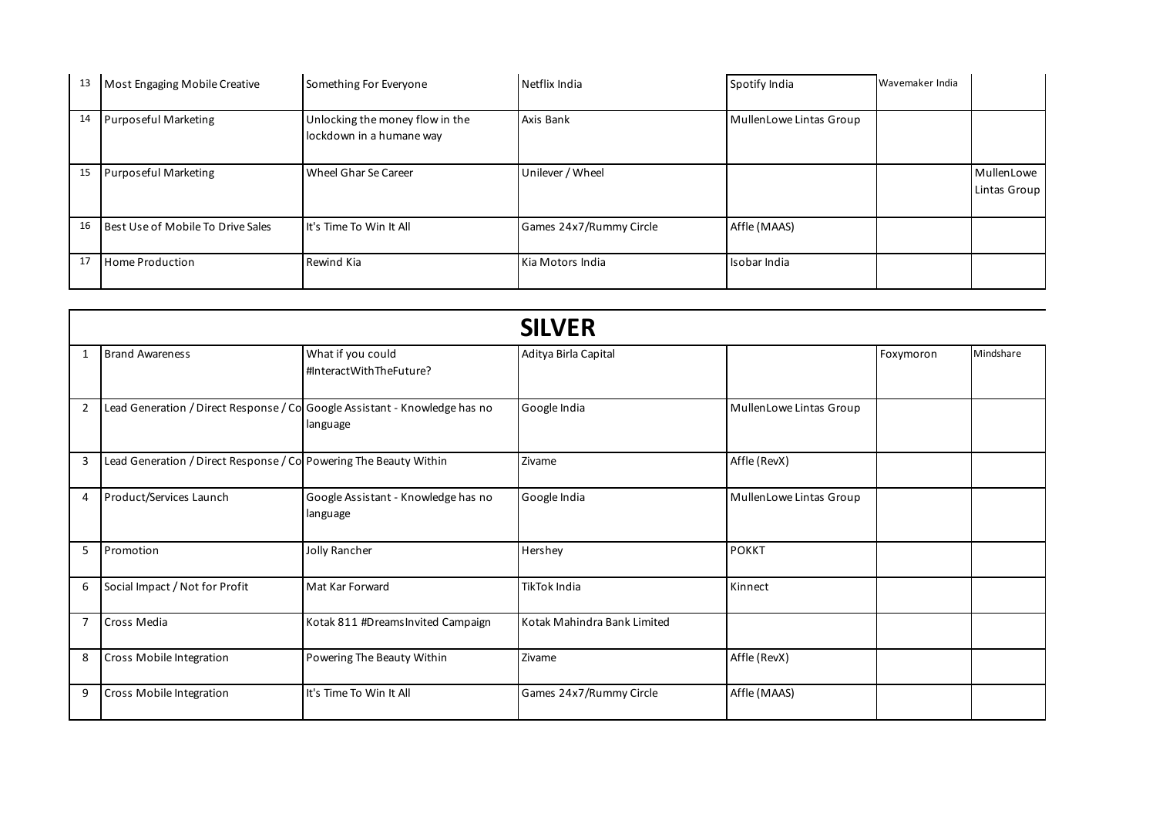| 13 | Most Engaging Mobile Creative     | Something For Everyone                                      | Netflix India           | Spotify India           | Wavemaker India |                            |
|----|-----------------------------------|-------------------------------------------------------------|-------------------------|-------------------------|-----------------|----------------------------|
| 14 | Purposeful Marketing              | Unlocking the money flow in the<br>lockdown in a humane way | Axis Bank               | MullenLowe Lintas Group |                 |                            |
| 15 | Purposeful Marketing              | Wheel Ghar Se Career                                        | Unilever / Wheel        |                         |                 | MullenLowe<br>Lintas Group |
| 16 | Best Use of Mobile To Drive Sales | It's Time To Win It All                                     | Games 24x7/Rummy Circle | Affle (MAAS)            |                 |                            |
| 17 | <b>Home Production</b>            | Rewind Kia                                                  | Kia Motors India        | Isobar India            |                 |                            |

|                |                                                                             |                                                 | <b>SILVER</b>               |                         |           |           |
|----------------|-----------------------------------------------------------------------------|-------------------------------------------------|-----------------------------|-------------------------|-----------|-----------|
| 1              | <b>Brand Awareness</b>                                                      | What if you could<br>#InteractWithTheFuture?    | Aditya Birla Capital        |                         | Foxymoron | Mindshare |
| $\overline{2}$ | Lead Generation / Direct Response / Col Google Assistant - Knowledge has no | language                                        | Google India                | MullenLowe Lintas Group |           |           |
| 3              | Lead Generation / Direct Response / Col Powering The Beauty Within          |                                                 | Zivame                      | Affle (RevX)            |           |           |
| 4              | Product/Services Launch                                                     | Google Assistant - Knowledge has no<br>language | Google India                | MullenLowe Lintas Group |           |           |
| 5              | Promotion                                                                   | Jolly Rancher                                   | Hershey                     | <b>POKKT</b>            |           |           |
| 6              | Social Impact / Not for Profit                                              | Mat Kar Forward                                 | TikTok India                | Kinnect                 |           |           |
| $\overline{7}$ | Cross Media                                                                 | Kotak 811 #DreamsInvited Campaign               | Kotak Mahindra Bank Limited |                         |           |           |
| 8              | Cross Mobile Integration                                                    | Powering The Beauty Within                      | Zivame                      | Affle (RevX)            |           |           |
| 9              | Cross Mobile Integration                                                    | It's Time To Win It All                         | Games 24x7/Rummy Circle     | Affle (MAAS)            |           |           |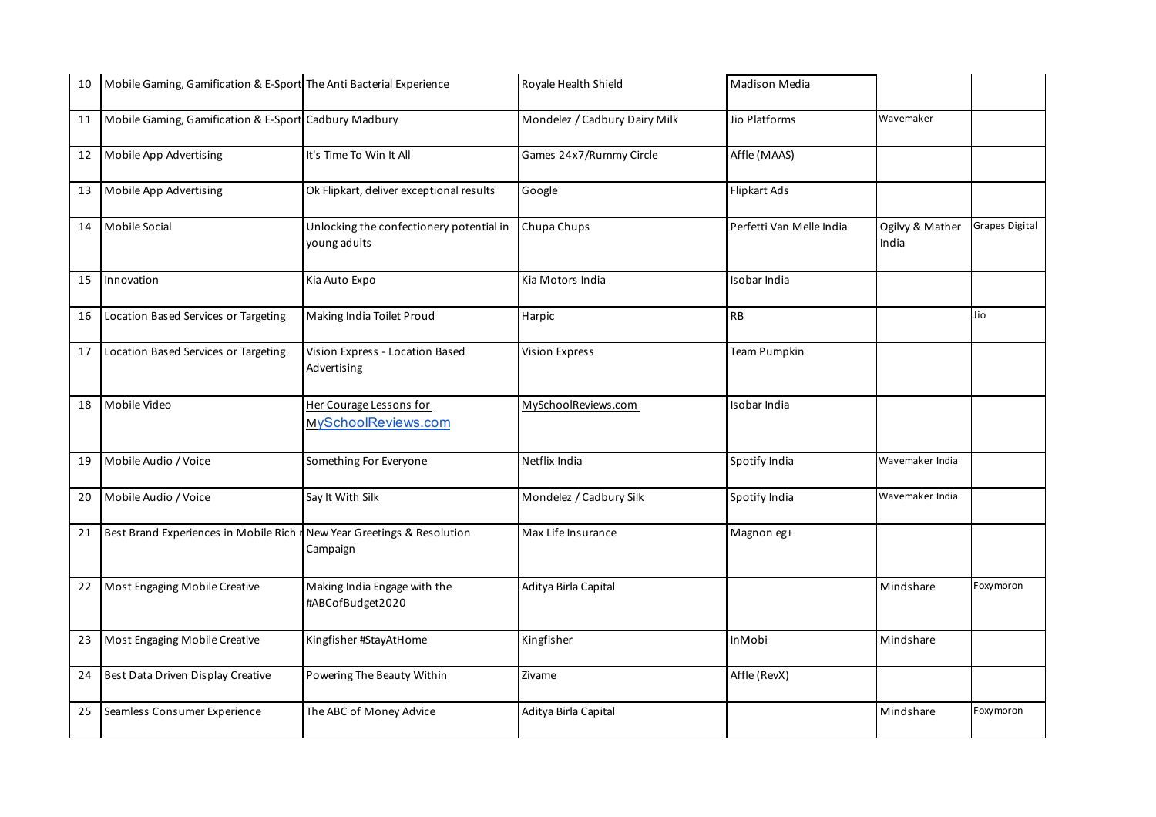| 10 | Mobile Gaming, Gamification & E-Sport The Anti Bacterial Experience |                                                          | Royale Health Shield          | Madison Media            |                          |                |
|----|---------------------------------------------------------------------|----------------------------------------------------------|-------------------------------|--------------------------|--------------------------|----------------|
| 11 | Mobile Gaming, Gamification & E-Sport Cadbury Madbury               |                                                          | Mondelez / Cadbury Dairy Milk | Jio Platforms            | Wavemaker                |                |
| 12 | Mobile App Advertising                                              | It's Time To Win It All                                  | Games 24x7/Rummy Circle       | Affle (MAAS)             |                          |                |
| 13 | Mobile App Advertising                                              | Ok Flipkart, deliver exceptional results                 | Google                        | Flipkart Ads             |                          |                |
| 14 | Mobile Social                                                       | Unlocking the confectionery potential in<br>young adults | Chupa Chups                   | Perfetti Van Melle India | Ogilvy & Mather<br>India | Grapes Digital |
| 15 | Innovation                                                          | Kia Auto Expo                                            | Kia Motors India              | Isobar India             |                          |                |
| 16 | Location Based Services or Targeting                                | Making India Toilet Proud                                | Harpic                        | <b>RB</b>                |                          | Jio            |
| 17 | Location Based Services or Targeting                                | Vision Express - Location Based<br>Advertising           | Vision Express                | Team Pumpkin             |                          |                |
| 18 | Mobile Video                                                        | Her Courage Lessons for<br>MySchoolReviews.com           | MySchoolReviews.com           | Isobar India             |                          |                |
| 19 | Mobile Audio / Voice                                                | Something For Everyone                                   | Netflix India                 | Spotify India            | Wavemaker India          |                |
| 20 | Mobile Audio / Voice                                                | Say It With Silk                                         | Mondelez / Cadbury Silk       | Spotify India            | Wavemaker India          |                |
| 21 | Best Brand Experiences in Mobile Rich r                             | New Year Greetings & Resolution<br>Campaign              | Max Life Insurance            | Magnon eg+               |                          |                |
| 22 | Most Engaging Mobile Creative                                       | Making India Engage with the<br>#ABCofBudget2020         | Aditya Birla Capital          |                          | Mindshare                | Foxymoron      |
| 23 | Most Engaging Mobile Creative                                       | Kingfisher #StayAtHome                                   | Kingfisher                    | <b>InMobi</b>            | Mindshare                |                |
| 24 | Best Data Driven Display Creative                                   | Powering The Beauty Within                               | Zivame                        | Affle (RevX)             |                          |                |
| 25 | Seamless Consumer Experience                                        | The ABC of Money Advice                                  | Aditya Birla Capital          |                          | Mindshare                | Foxymoron      |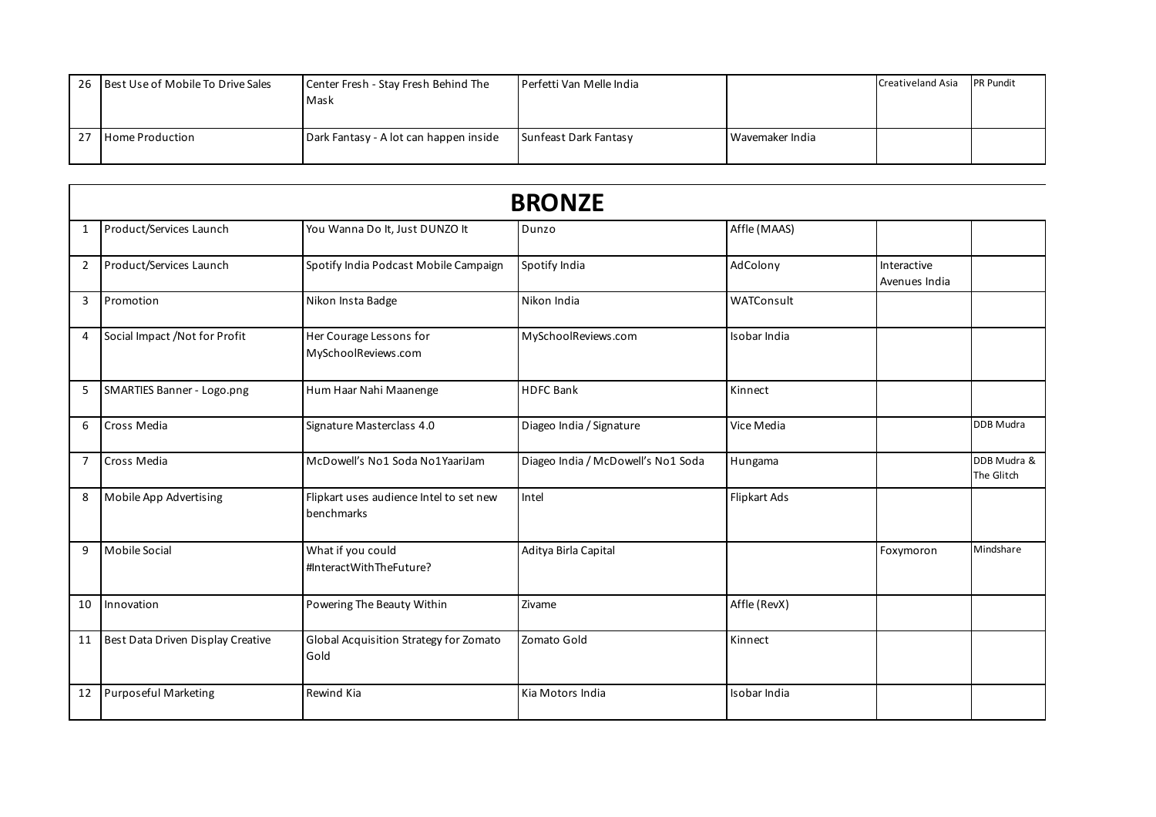| 26 Best Use of Mobile To Drive Sales | Center Fresh - Stay Fresh Behind The   | Perfetti Van Melle India |                 | <b>Creativeland Asia</b> | <b>PR Pundit</b> |
|--------------------------------------|----------------------------------------|--------------------------|-----------------|--------------------------|------------------|
|                                      | Mask                                   |                          |                 |                          |                  |
| <b>Home Production</b>               | Dark Fantasy - A lot can happen inside | Sunfeast Dark Fantasy    | Wavemaker India |                          |                  |

|                | <b>BRONZE</b>                     |                                                       |                                    |              |                              |                           |  |
|----------------|-----------------------------------|-------------------------------------------------------|------------------------------------|--------------|------------------------------|---------------------------|--|
| 1              | Product/Services Launch           | You Wanna Do It, Just DUNZO It                        | Dunzo                              | Affle (MAAS) |                              |                           |  |
| $\overline{2}$ | Product/Services Launch           | Spotify India Podcast Mobile Campaign                 | Spotify India                      | AdColony     | Interactive<br>Avenues India |                           |  |
| 3              | Promotion                         | Nikon Insta Badge                                     | Nikon India                        | WATConsult   |                              |                           |  |
| 4              | Social Impact / Not for Profit    | Her Courage Lessons for<br>MySchoolReviews.com        | MySchoolReviews.com                | Isobar India |                              |                           |  |
| 5              | <b>SMARTIES Banner - Logo.png</b> | Hum Haar Nahi Maanenge                                | <b>HDFC Bank</b>                   | Kinnect      |                              |                           |  |
| 6              | Cross Media                       | Signature Masterclass 4.0                             | Diageo India / Signature           | Vice Media   |                              | <b>DDB</b> Mudra          |  |
| $\overline{7}$ | Cross Media                       | McDowell's No1 Soda No1 YaariJam                      | Diageo India / McDowell's No1 Soda | Hungama      |                              | DDB Mudra &<br>The Glitch |  |
| 8              | Mobile App Advertising            | Flipkart uses audience Intel to set new<br>benchmarks | Intel                              | Flipkart Ads |                              |                           |  |
| 9              | <b>Mobile Social</b>              | What if you could<br>#InteractWithTheFuture?          | Aditya Birla Capital               |              | Foxymoron                    | Mindshare                 |  |
| 10             | Innovation                        | Powering The Beauty Within                            | Zivame                             | Affle (RevX) |                              |                           |  |
| 11             | Best Data Driven Display Creative | Global Acquisition Strategy for Zomato<br>Gold        | Zomato Gold                        | Kinnect      |                              |                           |  |
| 12             | <b>Purposeful Marketing</b>       | Rewind Kia                                            | Kia Motors India                   | Isobar India |                              |                           |  |